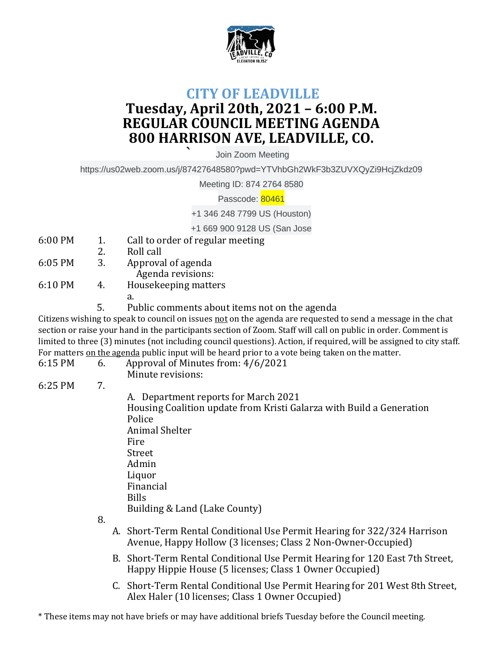

## **CITY OF LEADVILLE Tuesday, April 20th, 2021 – 6:00 P.M. REGULAR COUNCIL MEETING AGENDA 800 HARRISON AVE, LEADVILLE, CO.**

**`** Join Zoom Meeting

https://us02web.zoom.us/j/87427648580?pwd=YTVhbGh2WkF3b3ZUVXQyZi9HcjZkdz09

Meeting ID: 874 2764 8580

Passcode: 80461

+1 346 248 7799 US (Houston)

+1 669 900 9128 US (San Jose

- 6:00 PM 1. Call to order of regular meeting
- 2. Roll call
- 6:05 PM 3. Approval of agenda Agenda revisions:
- 6:10 PM 4. Housekeeping matters
	- a.
	- 5. Public comments about items not on the agenda

Citizens wishing to speak to council on issues not on the agenda are requested to send a message in the chat section or raise your hand in the participants section of Zoom. Staff will call on public in order. Comment is limited to three (3) minutes (not including council questions). Action, if required, will be assigned to city staff. For matters on the agenda public input will be heard prior to a vote being taken on the matter.

- 6:15 PM 6. Approval of Minutes from: 4/6/2021
	- Minute revisions:
- 6:25 PM 7.

A. Department reports for March 2021 Housing Coalition update from Kristi Galarza with Build a Generation Police Animal Shelter Fire Street Admin Liquor Financial Bills Building & Land (Lake County)

8.

- A. Short-Term Rental Conditional Use Permit Hearing for 322/324 Harrison Avenue, Happy Hollow (3 licenses; Class 2 Non-Owner-Occupied)
- B. Short-Term Rental Conditional Use Permit Hearing for 120 East 7th Street, Happy Hippie House (5 licenses; Class 1 Owner Occupied)
- C. Short-Term Rental Conditional Use Permit Hearing for 201 West 8th Street, Alex Haler (10 licenses; Class 1 Owner Occupied)

\* These items may not have briefs or may have additional briefs Tuesday before the Council meeting.